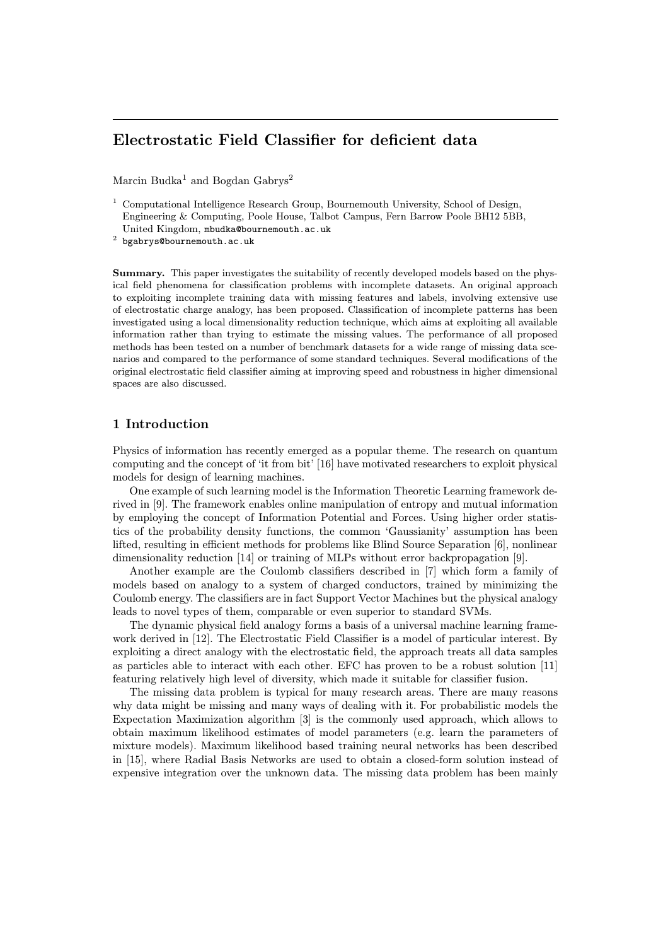# Electrostatic Field Classifier for deficient data

Marcin Budka<sup>1</sup> and Bogdan Gabrys<sup>2</sup>

<sup>1</sup> Computational Intelligence Research Group, Bournemouth University, School of Design, Engineering & Computing, Poole House, Talbot Campus, Fern Barrow Poole BH12 5BB, United Kingdom, mbudka@bournemouth.ac.uk

 $^{\rm 2}$  bgabrys@bournemouth.ac.uk

Summary. This paper investigates the suitability of recently developed models based on the physical field phenomena for classification problems with incomplete datasets. An original approach to exploiting incomplete training data with missing features and labels, involving extensive use of electrostatic charge analogy, has been proposed. Classification of incomplete patterns has been investigated using a local dimensionality reduction technique, which aims at exploiting all available information rather than trying to estimate the missing values. The performance of all proposed methods has been tested on a number of benchmark datasets for a wide range of missing data scenarios and compared to the performance of some standard techniques. Several modifications of the original electrostatic field classifier aiming at improving speed and robustness in higher dimensional spaces are also discussed.

# 1 Introduction

Physics of information has recently emerged as a popular theme. The research on quantum computing and the concept of 'it from bit' [16] have motivated researchers to exploit physical models for design of learning machines.

One example of such learning model is the Information Theoretic Learning framework derived in [9]. The framework enables online manipulation of entropy and mutual information by employing the concept of Information Potential and Forces. Using higher order statistics of the probability density functions, the common 'Gaussianity' assumption has been lifted, resulting in efficient methods for problems like Blind Source Separation [6], nonlinear dimensionality reduction [14] or training of MLPs without error backpropagation [9].

Another example are the Coulomb classifiers described in [7] which form a family of models based on analogy to a system of charged conductors, trained by minimizing the Coulomb energy. The classifiers are in fact Support Vector Machines but the physical analogy leads to novel types of them, comparable or even superior to standard SVMs.

The dynamic physical field analogy forms a basis of a universal machine learning framework derived in [12]. The Electrostatic Field Classifier is a model of particular interest. By exploiting a direct analogy with the electrostatic field, the approach treats all data samples as particles able to interact with each other. EFC has proven to be a robust solution [11] featuring relatively high level of diversity, which made it suitable for classifier fusion.

The missing data problem is typical for many research areas. There are many reasons why data might be missing and many ways of dealing with it. For probabilistic models the Expectation Maximization algorithm [3] is the commonly used approach, which allows to obtain maximum likelihood estimates of model parameters (e.g. learn the parameters of mixture models). Maximum likelihood based training neural networks has been described in [15], where Radial Basis Networks are used to obtain a closed-form solution instead of expensive integration over the unknown data. The missing data problem has been mainly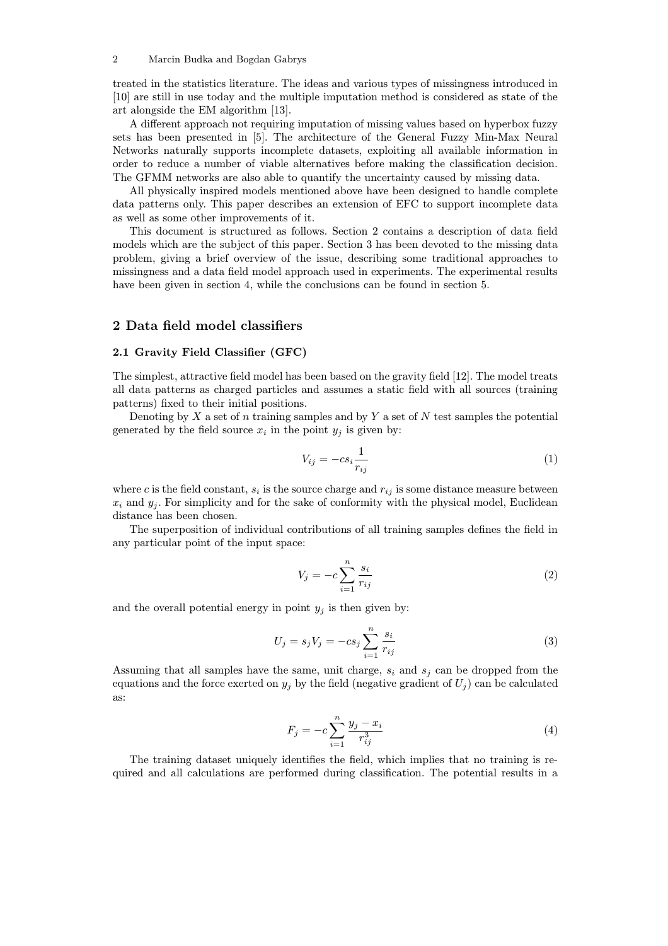#### 2 Marcin Budka and Bogdan Gabrys

treated in the statistics literature. The ideas and various types of missingness introduced in [10] are still in use today and the multiple imputation method is considered as state of the art alongside the EM algorithm [13].

A different approach not requiring imputation of missing values based on hyperbox fuzzy sets has been presented in [5]. The architecture of the General Fuzzy Min-Max Neural Networks naturally supports incomplete datasets, exploiting all available information in order to reduce a number of viable alternatives before making the classification decision. The GFMM networks are also able to quantify the uncertainty caused by missing data.

All physically inspired models mentioned above have been designed to handle complete data patterns only. This paper describes an extension of EFC to support incomplete data as well as some other improvements of it.

This document is structured as follows. Section 2 contains a description of data field models which are the subject of this paper. Section 3 has been devoted to the missing data problem, giving a brief overview of the issue, describing some traditional approaches to missingness and a data field model approach used in experiments. The experimental results have been given in section 4, while the conclusions can be found in section 5.

## 2 Data field model classifiers

### 2.1 Gravity Field Classifier (GFC)

The simplest, attractive field model has been based on the gravity field [12]. The model treats all data patterns as charged particles and assumes a static field with all sources (training patterns) fixed to their initial positions.

Denoting by  $X$  a set of n training samples and by  $Y$  a set of  $N$  test samples the potential generated by the field source  $x_i$  in the point  $y_j$  is given by:

$$
V_{ij} = -cs_i \frac{1}{r_{ij}} \tag{1}
$$

where c is the field constant,  $s_i$  is the source charge and  $r_{ij}$  is some distance measure between  $x_i$  and  $y_j$ . For simplicity and for the sake of conformity with the physical model, Euclidean distance has been chosen.

The superposition of individual contributions of all training samples defines the field in any particular point of the input space:

$$
V_j = -c \sum_{i=1}^{n} \frac{s_i}{r_{ij}} \tag{2}
$$

and the overall potential energy in point  $y_i$  is then given by:

$$
U_j = s_j V_j = -c s_j \sum_{i=1}^{n} \frac{s_i}{r_{ij}}
$$
\n(3)

Assuming that all samples have the same, unit charge,  $s_i$  and  $s_j$  can be dropped from the equations and the force exerted on  $y_i$  by the field (negative gradient of  $U_i$ ) can be calculated as:

$$
F_j = -c \sum_{i=1}^{n} \frac{y_j - x_i}{r_{ij}^3}
$$
 (4)

The training dataset uniquely identifies the field, which implies that no training is required and all calculations are performed during classification. The potential results in a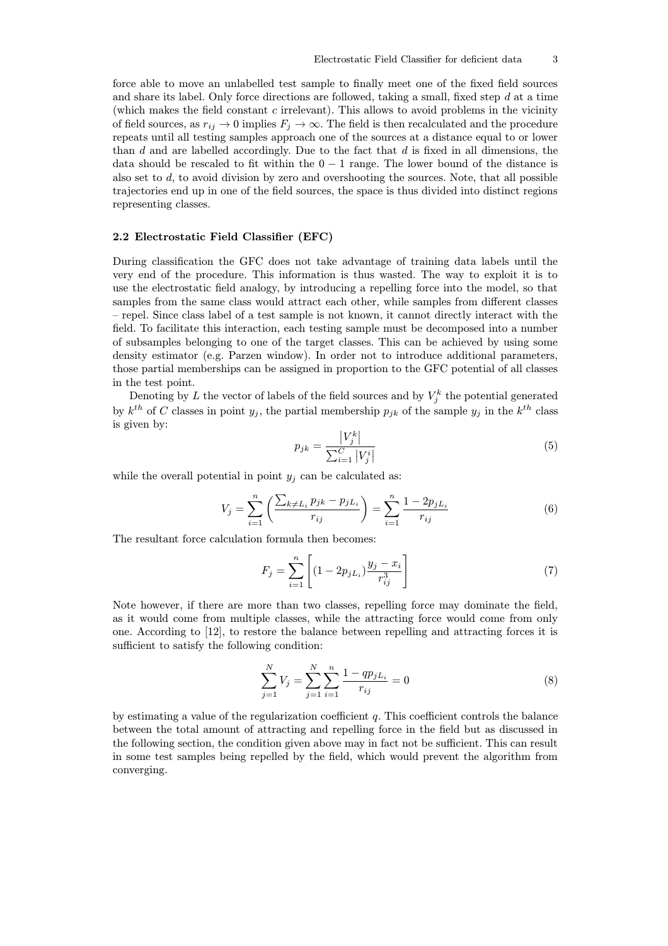force able to move an unlabelled test sample to finally meet one of the fixed field sources and share its label. Only force directions are followed, taking a small, fixed step  $d$  at a time (which makes the field constant  $c$  irrelevant). This allows to avoid problems in the vicinity of field sources, as  $r_{ij} \to 0$  implies  $F_j \to \infty$ . The field is then recalculated and the procedure repeats until all testing samples approach one of the sources at a distance equal to or lower than  $d$  and are labelled accordingly. Due to the fact that  $d$  is fixed in all dimensions, the data should be rescaled to fit within the  $0 - 1$  range. The lower bound of the distance is also set to  $d$ , to avoid division by zero and overshooting the sources. Note, that all possible trajectories end up in one of the field sources, the space is thus divided into distinct regions representing classes.

### 2.2 Electrostatic Field Classifier (EFC)

During classification the GFC does not take advantage of training data labels until the very end of the procedure. This information is thus wasted. The way to exploit it is to use the electrostatic field analogy, by introducing a repelling force into the model, so that samples from the same class would attract each other, while samples from different classes – repel. Since class label of a test sample is not known, it cannot directly interact with the field. To facilitate this interaction, each testing sample must be decomposed into a number of subsamples belonging to one of the target classes. This can be achieved by using some density estimator (e.g. Parzen window). In order not to introduce additional parameters, those partial memberships can be assigned in proportion to the GFC potential of all classes in the test point.

Denoting by L the vector of labels of the field sources and by  $V_j^k$  the potential generated by  $k^{th}$  of C classes in point  $y_j$ , the partial membership  $p_{jk}$  of the sample  $y_j$  in the  $k^{th}$  class is given by:

$$
p_{jk} = \frac{|V_j^k|}{\sum_{i=1}^C |V_j^i|}
$$
 (5)

while the overall potential in point  $y_j$  can be calculated as:

$$
V_j = \sum_{i=1}^n \left( \frac{\sum_{k \neq L_i} p_{jk} - p_{jL_i}}{r_{ij}} \right) = \sum_{i=1}^n \frac{1 - 2p_{jL_i}}{r_{ij}}
$$
(6)

The resultant force calculation formula then becomes:

$$
F_j = \sum_{i=1}^{n} \left[ (1 - 2p_{jL_i}) \frac{y_j - x_i}{r_{ij}^3} \right] \tag{7}
$$

Note however, if there are more than two classes, repelling force may dominate the field, as it would come from multiple classes, while the attracting force would come from only one. According to [12], to restore the balance between repelling and attracting forces it is sufficient to satisfy the following condition:

$$
\sum_{j=1}^{N} V_j = \sum_{j=1}^{N} \sum_{i=1}^{n} \frac{1 - qp_{jL_i}}{r_{ij}} = 0
$$
\n(8)

by estimating a value of the regularization coefficient  $q$ . This coefficient controls the balance between the total amount of attracting and repelling force in the field but as discussed in the following section, the condition given above may in fact not be sufficient. This can result in some test samples being repelled by the field, which would prevent the algorithm from converging.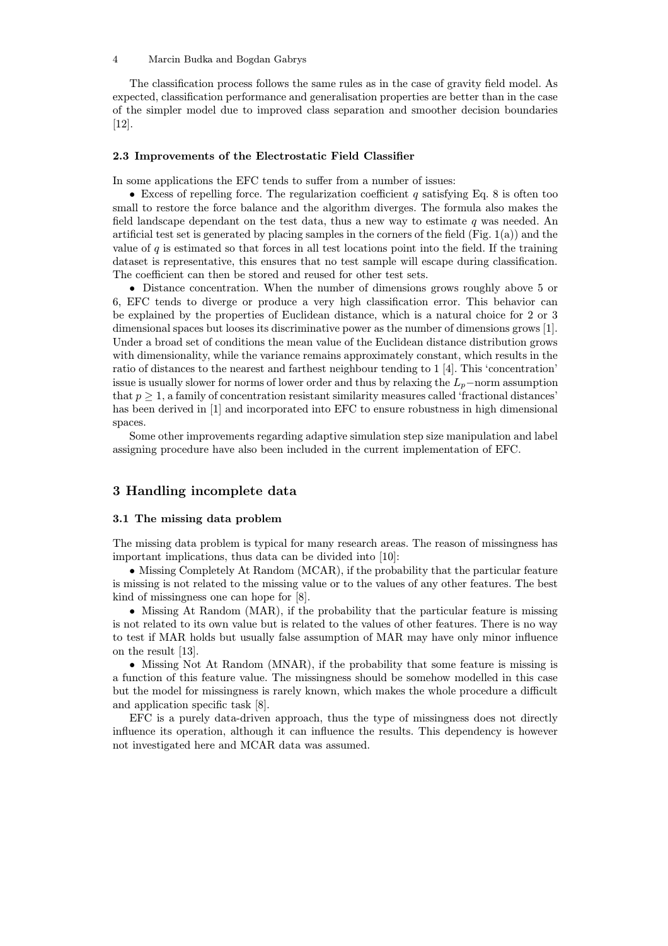#### 4 Marcin Budka and Bogdan Gabrys

The classification process follows the same rules as in the case of gravity field model. As expected, classification performance and generalisation properties are better than in the case of the simpler model due to improved class separation and smoother decision boundaries [12].

#### 2.3 Improvements of the Electrostatic Field Classifier

In some applications the EFC tends to suffer from a number of issues:

• Excess of repelling force. The regularization coefficient q satisfying Eq. 8 is often too small to restore the force balance and the algorithm diverges. The formula also makes the field landscape dependant on the test data, thus a new way to estimate  $q$  was needed. An artificial test set is generated by placing samples in the corners of the field (Fig. 1(a)) and the value of  $q$  is estimated so that forces in all test locations point into the field. If the training dataset is representative, this ensures that no test sample will escape during classification. The coefficient can then be stored and reused for other test sets.

• Distance concentration. When the number of dimensions grows roughly above 5 or 6, EFC tends to diverge or produce a very high classification error. This behavior can be explained by the properties of Euclidean distance, which is a natural choice for 2 or 3 dimensional spaces but looses its discriminative power as the number of dimensions grows [1]. Under a broad set of conditions the mean value of the Euclidean distance distribution grows with dimensionality, while the variance remains approximately constant, which results in the ratio of distances to the nearest and farthest neighbour tending to 1 [4]. This 'concentration' issue is usually slower for norms of lower order and thus by relaxing the  $L_p$ −norm assumption that  $p \geq 1$ , a family of concentration resistant similarity measures called 'fractional distances' has been derived in [1] and incorporated into EFC to ensure robustness in high dimensional spaces.

Some other improvements regarding adaptive simulation step size manipulation and label assigning procedure have also been included in the current implementation of EFC.

# 3 Handling incomplete data

#### 3.1 The missing data problem

The missing data problem is typical for many research areas. The reason of missingness has important implications, thus data can be divided into [10]:

• Missing Completely At Random (MCAR), if the probability that the particular feature is missing is not related to the missing value or to the values of any other features. The best kind of missingness one can hope for [8].

• Missing At Random (MAR), if the probability that the particular feature is missing is not related to its own value but is related to the values of other features. There is no way to test if MAR holds but usually false assumption of MAR may have only minor influence on the result [13].

• Missing Not At Random (MNAR), if the probability that some feature is missing is a function of this feature value. The missingness should be somehow modelled in this case but the model for missingness is rarely known, which makes the whole procedure a difficult and application specific task [8].

EFC is a purely data-driven approach, thus the type of missingness does not directly influence its operation, although it can influence the results. This dependency is however not investigated here and MCAR data was assumed.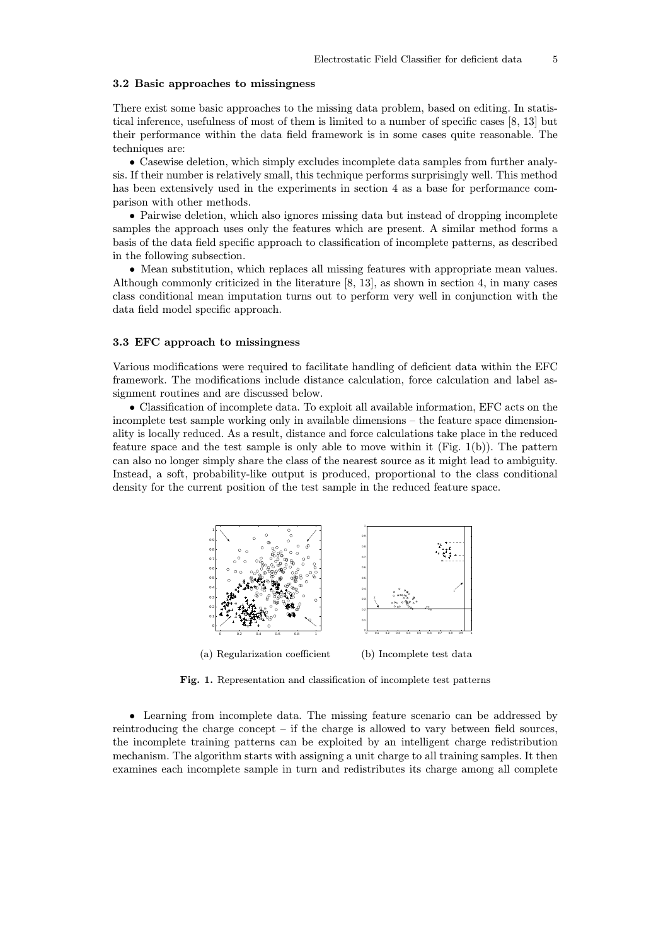#### 3.2 Basic approaches to missingness

There exist some basic approaches to the missing data problem, based on editing. In statistical inference, usefulness of most of them is limited to a number of specific cases [8, 13] but their performance within the data field framework is in some cases quite reasonable. The techniques are:

• Casewise deletion, which simply excludes incomplete data samples from further analysis. If their number is relatively small, this technique performs surprisingly well. This method has been extensively used in the experiments in section 4 as a base for performance comparison with other methods.

• Pairwise deletion, which also ignores missing data but instead of dropping incomplete samples the approach uses only the features which are present. A similar method forms a basis of the data field specific approach to classification of incomplete patterns, as described in the following subsection.

• Mean substitution, which replaces all missing features with appropriate mean values. Although commonly criticized in the literature [8, 13], as shown in section 4, in many cases class conditional mean imputation turns out to perform very well in conjunction with the data field model specific approach.

#### 3.3 EFC approach to missingness

Various modifications were required to facilitate handling of deficient data within the EFC framework. The modifications include distance calculation, force calculation and label assignment routines and are discussed below.

• Classification of incomplete data. To exploit all available information, EFC acts on the incomplete test sample working only in available dimensions – the feature space dimensionality is locally reduced. As a result, distance and force calculations take place in the reduced feature space and the test sample is only able to move within it (Fig. 1(b)). The pattern can also no longer simply share the class of the nearest source as it might lead to ambiguity. Instead, a soft, probability-like output is produced, proportional to the class conditional density for the current position of the test sample in the reduced feature space.



(a) Regularization coefficient (b) Incomplete test data

Fig. 1. Representation and classification of incomplete test patterns

• Learning from incomplete data. The missing feature scenario can be addressed by reintroducing the charge concept – if the charge is allowed to vary between field sources, the incomplete training patterns can be exploited by an intelligent charge redistribution mechanism. The algorithm starts with assigning a unit charge to all training samples. It then examines each incomplete sample in turn and redistributes its charge among all complete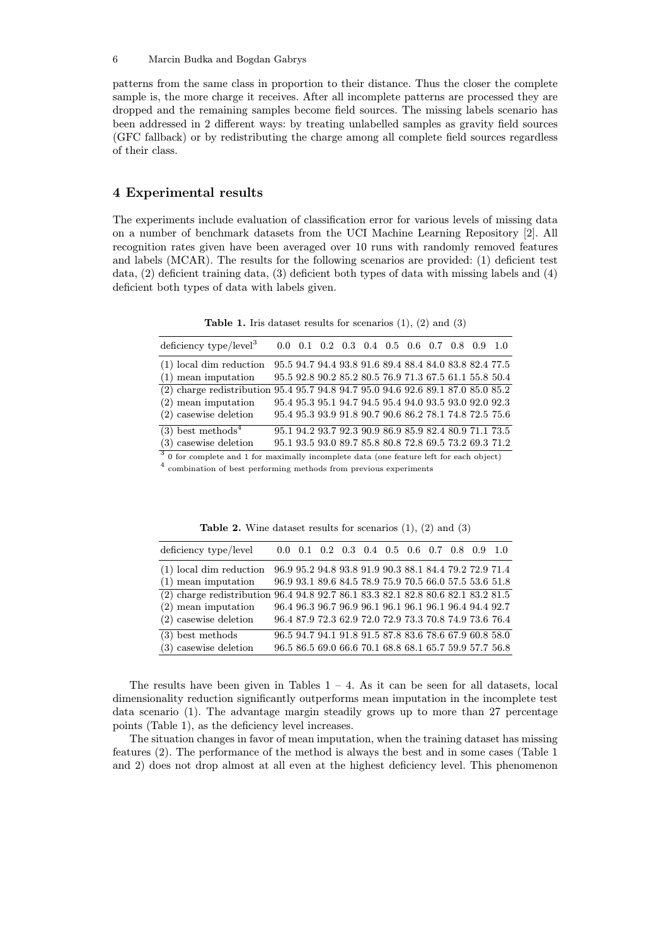patterns from the same class in proportion to their distance. Thus the closer the complete sample is, the more charge it receives. After all incomplete patterns are processed they are dropped and the remaining samples become field sources. The missing labels scenario has been addressed in 2 different ways: by treating unlabelled samples as gravity field sources (GFC fallback) or by redistributing the charge among all complete field sources regardless of their class.

# 4 Experimental results

The experiments include evaluation of classification error for various levels of missing data on a number of benchmark datasets from the UCI Machine Learning Repository [2]. All recognition rates given have been averaged over 10 runs with randomly removed features and labels (MCAR). The results for the following scenarios are provided: (1) deficient test data, (2) deficient training data, (3) deficient both types of data with missing labels and (4) deficient both types of data with labels given.

**Table 1.** Iris dataset results for scenarios  $(1)$ ,  $(2)$  and  $(3)$ 

| deficiency type/level <sup>3</sup>                                                        |  |  |  |  |  |  |  |  |  | $0.0 \quad 0.1 \quad 0.2 \quad 0.3 \quad 0.4 \quad 0.5 \quad 0.6 \quad 0.7 \quad 0.8 \quad 0.9 \quad 1.0$ |  |
|-------------------------------------------------------------------------------------------|--|--|--|--|--|--|--|--|--|-----------------------------------------------------------------------------------------------------------|--|
| $(1)$ local dim reduction                                                                 |  |  |  |  |  |  |  |  |  | 95.5 94.7 94.4 93.8 91.6 89.4 88.4 84.0 83.8 82.4 77.5                                                    |  |
| $(1)$ mean imputation                                                                     |  |  |  |  |  |  |  |  |  | 95.5 92.8 90.2 85.2 80.5 76.9 71.3 67.5 61.1 55.8 50.4                                                    |  |
| (2) charge redistribution 95.4 95.7 94.8 94.7 95.0 94.6 92.6 89.1 87.0 85.0 85.2          |  |  |  |  |  |  |  |  |  |                                                                                                           |  |
| $(2)$ mean imputation                                                                     |  |  |  |  |  |  |  |  |  | 95.4 95.3 95.1 94.7 94.5 95.4 94.0 93.5 93.0 92.0 92.3                                                    |  |
| $(2)$ casewise deletion                                                                   |  |  |  |  |  |  |  |  |  | 95.4 95.3 93.9 91.8 90.7 90.6 86.2 78.1 74.8 72.5 75.6                                                    |  |
| $(3)$ best methods <sup>4</sup>                                                           |  |  |  |  |  |  |  |  |  | 95.1 94.2 93.7 92.3 90.9 86.9 85.9 82.4 80.9 71.1 73.5                                                    |  |
| $(3)$ casewise deletion                                                                   |  |  |  |  |  |  |  |  |  | 95.1 93.5 93.0 89.7 85.8 80.8 72.8 69.5 73.2 69.3 71.2                                                    |  |
| $3$ 0 for complete and 1 for maximally incomplete data (one feature left for each object) |  |  |  |  |  |  |  |  |  |                                                                                                           |  |

 $^4\,$  combination of best performing methods from previous experiments

| deficiency type/level       | $0.0 \quad 0.1 \quad 0.2 \quad 0.3 \quad 0.4 \quad 0.5 \quad 0.6 \quad 0.7 \quad 0.8 \quad 0.9 \quad 1.0$ |  |  |  |  |                                                        |
|-----------------------------|-----------------------------------------------------------------------------------------------------------|--|--|--|--|--------------------------------------------------------|
| $(1)$ local dim reduction   | 96.9 95.2 94.8 93.8 91.9 90.3 88.1 84.4 79.2 72.9 71.4                                                    |  |  |  |  |                                                        |
| $(1)$ mean imputation       | 96.9 93.1 89.6 84.5 78.9 75.9 70.5 66.0 57.5 53.6 51.8                                                    |  |  |  |  |                                                        |
| $(2)$ charge redistribution | $96.4\ 94.8\ 92.7\ 86.1\ 83.3\ 82.1\ 82.8\ 80.6\ 82.1\ 83.2\ 81.5$                                        |  |  |  |  |                                                        |
| $(2)$ mean imputation       | 96.4 96.3 96.7 96.9 96.1 96.1 96.1 96.1 96.4 94.4 92.7                                                    |  |  |  |  |                                                        |
| $(2)$ casewise deletion     |                                                                                                           |  |  |  |  | 96.4 87.9 72.3 62.9 72.0 72.9 73.3 70.8 74.9 73.6 76.4 |
| $(3)$ best methods          | 96.5 94.7 94.1 91.8 91.5 87.8 83.6 78.6 67.9 60.8 58.0                                                    |  |  |  |  |                                                        |
| $(3)$ casewise deletion     |                                                                                                           |  |  |  |  | 96.5 86.5 69.0 66.6 70.1 68.8 68.1 65.7 59.9 57.7 56.8 |

**Table 2.** Wine dataset results for scenarios  $(1)$ ,  $(2)$  and  $(3)$ 

The results have been given in Tables  $1 - 4$ . As it can be seen for all datasets, local dimensionality reduction significantly outperforms mean imputation in the incomplete test data scenario (1). The advantage margin steadily grows up to more than 27 percentage points (Table 1), as the deficiency level increases.

The situation changes in favor of mean imputation, when the training dataset has missing features (2). The performance of the method is always the best and in some cases (Table 1 and 2) does not drop almost at all even at the highest deficiency level. This phenomenon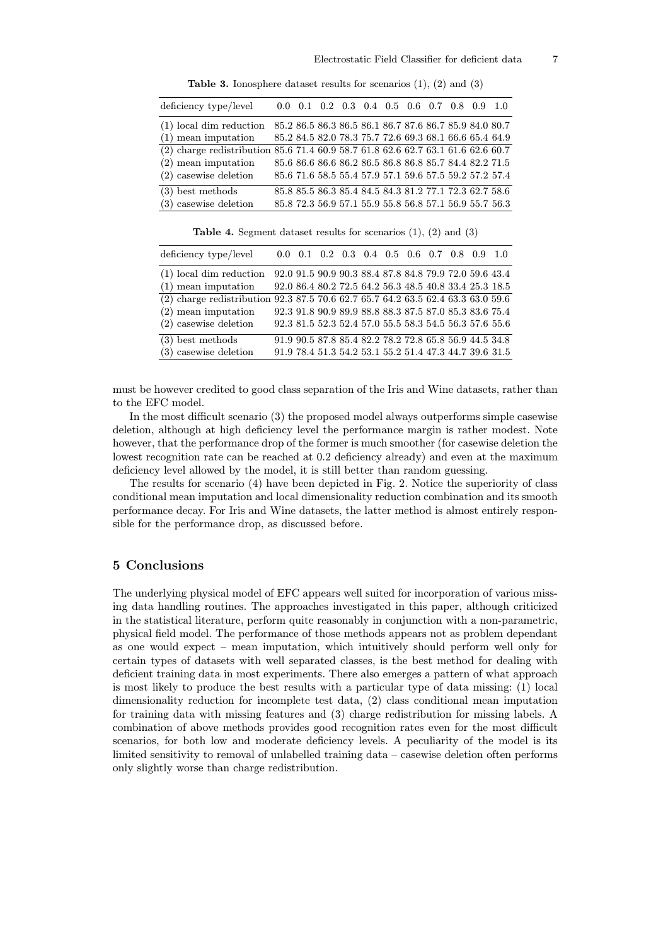| deficiency type/level                                                              |  |  |  |  | $0.0 \quad 0.1 \quad 0.2 \quad 0.3 \quad 0.4 \quad 0.5 \quad 0.6 \quad 0.7 \quad 0.8 \quad 0.9 \quad 1.0$ |  |
|------------------------------------------------------------------------------------|--|--|--|--|-----------------------------------------------------------------------------------------------------------|--|
| $(1)$ local dim reduction                                                          |  |  |  |  | 85.2 86.5 86.3 86.5 86.1 86.7 87.6 86.7 85.9 84.0 80.7                                                    |  |
| $(1)$ mean imputation                                                              |  |  |  |  | 85.2 84.5 82.0 78.3 75.7 72.6 69.3 68.1 66.6 65.4 64.9                                                    |  |
| $(2)$ charge redistribution 85.6 71.4 60.9 58.7 61.8 62.6 62.7 63.1 61.6 62.6 60.7 |  |  |  |  |                                                                                                           |  |
| $(2)$ mean imputation                                                              |  |  |  |  | 85.6 86.6 86.6 86.2 86.5 86.8 86.8 85.7 84.4 82.2 71.5                                                    |  |
| $(2)$ casewise deletion                                                            |  |  |  |  | 85.6 71.6 58.5 55.4 57.9 57.1 59.6 57.5 59.2 57.2 57.4                                                    |  |
| $(3)$ best methods                                                                 |  |  |  |  | 85.8 85.5 86.3 85.4 84.5 84.3 81.2 77.1 72.3 62.7 58.6                                                    |  |
| $(3)$ casewise deletion                                                            |  |  |  |  | 85.8 72.3 56.9 57.1 55.9 55.8 56.8 57.1 56.9 55.7 56.3                                                    |  |

Table 3. Ionosphere dataset results for scenarios (1), (2) and (3)

Table 4. Segment dataset results for scenarios (1), (2) and (3)

| deficiency type/level                                                            |  |  | $0.0 \quad 0.1 \quad 0.2 \quad 0.3 \quad 0.4 \quad 0.5 \quad 0.6 \quad 0.7 \quad 0.8 \quad 0.9 \quad 1.0$ |  |  |                                                        |
|----------------------------------------------------------------------------------|--|--|-----------------------------------------------------------------------------------------------------------|--|--|--------------------------------------------------------|
| $(1)$ local dim reduction                                                        |  |  | 92.0 91.5 90.9 90.3 88.4 87.8 84.8 79.9 72.0 59.6 43.4                                                    |  |  |                                                        |
| $(1)$ mean imputation                                                            |  |  |                                                                                                           |  |  | 92.0 86.4 80.2 72.5 64.2 56.3 48.5 40.8 33.4 25.3 18.5 |
| (2) charge redistribution 92.3 87.5 70.6 62.7 65.7 64.2 63.5 62.4 63.3 63.0 59.6 |  |  |                                                                                                           |  |  |                                                        |
| $(2)$ mean imputation                                                            |  |  | 92.3 91.8 90.9 89.9 88.8 88.3 87.5 87.0 85.3 83.6 75.4                                                    |  |  |                                                        |
| $(2)$ casewise deletion                                                          |  |  |                                                                                                           |  |  | 92.3 81.5 52.3 52.4 57.0 55.5 58.3 54.5 56.3 57.6 55.6 |
| $(3)$ best methods                                                               |  |  | 91.9 90.5 87.8 85.4 82.2 78.2 72.8 65.8 56.9 44.5 34.8                                                    |  |  |                                                        |
| $(3)$ casewise deletion                                                          |  |  |                                                                                                           |  |  | 91.9 78.4 51.3 54.2 53.1 55.2 51.4 47.3 44.7 39.6 31.5 |

must be however credited to good class separation of the Iris and Wine datasets, rather than to the EFC model.

In the most difficult scenario (3) the proposed model always outperforms simple casewise deletion, although at high deficiency level the performance margin is rather modest. Note however, that the performance drop of the former is much smoother (for casewise deletion the lowest recognition rate can be reached at 0.2 deficiency already) and even at the maximum deficiency level allowed by the model, it is still better than random guessing.

The results for scenario (4) have been depicted in Fig. 2. Notice the superiority of class conditional mean imputation and local dimensionality reduction combination and its smooth performance decay. For Iris and Wine datasets, the latter method is almost entirely responsible for the performance drop, as discussed before.

### 5 Conclusions

The underlying physical model of EFC appears well suited for incorporation of various missing data handling routines. The approaches investigated in this paper, although criticized in the statistical literature, perform quite reasonably in conjunction with a non-parametric, physical field model. The performance of those methods appears not as problem dependant as one would expect – mean imputation, which intuitively should perform well only for certain types of datasets with well separated classes, is the best method for dealing with deficient training data in most experiments. There also emerges a pattern of what approach is most likely to produce the best results with a particular type of data missing: (1) local dimensionality reduction for incomplete test data, (2) class conditional mean imputation for training data with missing features and (3) charge redistribution for missing labels. A combination of above methods provides good recognition rates even for the most difficult scenarios, for both low and moderate deficiency levels. A peculiarity of the model is its limited sensitivity to removal of unlabelled training data – casewise deletion often performs only slightly worse than charge redistribution.